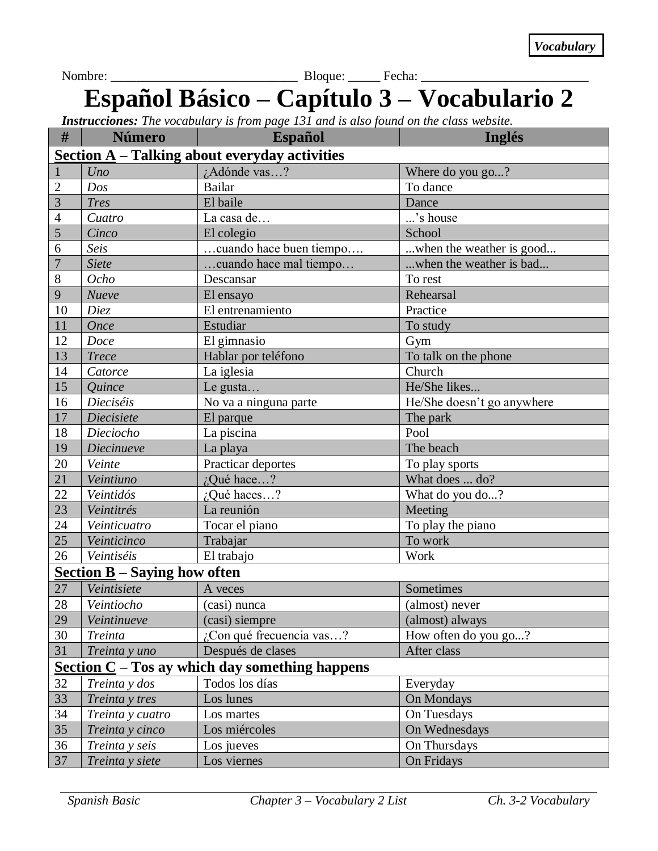Nombre: \_\_\_\_\_\_\_\_\_\_\_\_\_\_\_\_\_\_\_\_\_\_\_\_\_\_\_\_\_ Bloque: \_\_\_\_\_ Fecha: \_\_\_\_\_\_\_\_\_\_\_\_\_\_\_\_\_\_\_\_\_\_\_\_\_\_

## **Español Básico – Capítulo 3 – Vocabulario 2**

*Instrucciones: The vocabulary is from page 131 and is also found on the class website.*

| #                                                    | <b>Número</b>     | <b>Español</b>              | <b>Inglés</b>              |  |  |
|------------------------------------------------------|-------------------|-----------------------------|----------------------------|--|--|
| <b>Section A</b> – Talking about everyday activities |                   |                             |                            |  |  |
|                                                      | Uno               | ¿Adónde vas?                | Where do you go?           |  |  |
| $\overline{2}$                                       | Dos               | <b>Bailar</b>               | To dance                   |  |  |
| 3                                                    | <b>Tres</b>       | El baile                    | Dance                      |  |  |
| $\overline{4}$                                       | Cuatro            | La casa de                  | 's house                   |  |  |
| 5                                                    | Cinco             | El colegio                  | School                     |  |  |
| 6                                                    | Seis              | cuando hace buen tiempo     | when the weather is good   |  |  |
| $\overline{7}$                                       | <b>Siete</b>      | cuando hace mal tiempo      | when the weather is bad    |  |  |
| 8                                                    | Ocho              | Descansar                   | To rest                    |  |  |
| 9                                                    | Nueve             | El ensayo                   | Rehearsal                  |  |  |
| 10                                                   | <b>Diez</b>       | El entrenamiento            | Practice                   |  |  |
| 11                                                   | <b>Once</b>       | Estudiar                    | To study                   |  |  |
| 12                                                   | Doce              | El gimnasio                 | Gym                        |  |  |
| 13                                                   | <b>Trece</b>      | Hablar por teléfono         | To talk on the phone       |  |  |
| 14                                                   | Catorce           | La iglesia                  | Church                     |  |  |
| 15                                                   | Quince            | Le gusta                    | He/She likes               |  |  |
| 16                                                   | Dieciséis         | No va a ninguna parte       | He/She doesn't go anywhere |  |  |
| 17                                                   | Diecisiete        | El parque                   | The park                   |  |  |
| 18                                                   | Dieciocho         | La piscina                  | Pool                       |  |  |
| 19                                                   | <b>Diecinueve</b> | La playa                    | The beach                  |  |  |
| 20                                                   | Veinte            | Practicar deportes          | To play sports             |  |  |
| 21                                                   | Veintiuno         | ¿Qué hace?                  | What does  do?             |  |  |
| 22                                                   | Veintidós         | ¿Qué haces?                 | What do you do?            |  |  |
| 23                                                   | Veintitrés        | La reunión                  | Meeting                    |  |  |
| 24                                                   | Veinticuatro      | Tocar el piano              | To play the piano          |  |  |
| 25                                                   | Veinticinco       | Trabajar                    | To work                    |  |  |
| 26                                                   | Veintiséis        | El trabajo                  | Work                       |  |  |
| Section $B -$ Saying how often                       |                   |                             |                            |  |  |
| 27                                                   | Veintisiete       | A veces                     | Sometimes                  |  |  |
| 28                                                   | Veintiocho        | (casi) nunca                | (almost) never             |  |  |
| 29                                                   | Veintinueve       | (casi) siempre              | (almost) always            |  |  |
| 30                                                   | Treinta           | $i$ Con qué frecuencia vas? | How often do you go?       |  |  |
| 31                                                   | Treinta y uno     | Después de clases           | After class                |  |  |
| Section $C - T$ os ay which day something happens    |                   |                             |                            |  |  |
| 32                                                   | Treinta y dos     | Todos los días              | Everyday                   |  |  |
| 33                                                   | Treinta y tres    | Los lunes                   | On Mondays                 |  |  |
| 34                                                   | Treinta y cuatro  | Los martes                  | On Tuesdays                |  |  |
| 35                                                   | Treinta y cinco   | Los miércoles               | On Wednesdays              |  |  |
| 36                                                   | Treinta y seis    | Los jueves                  | On Thursdays               |  |  |
| 37                                                   | Treinta y siete   | Los viernes                 | On Fridays                 |  |  |